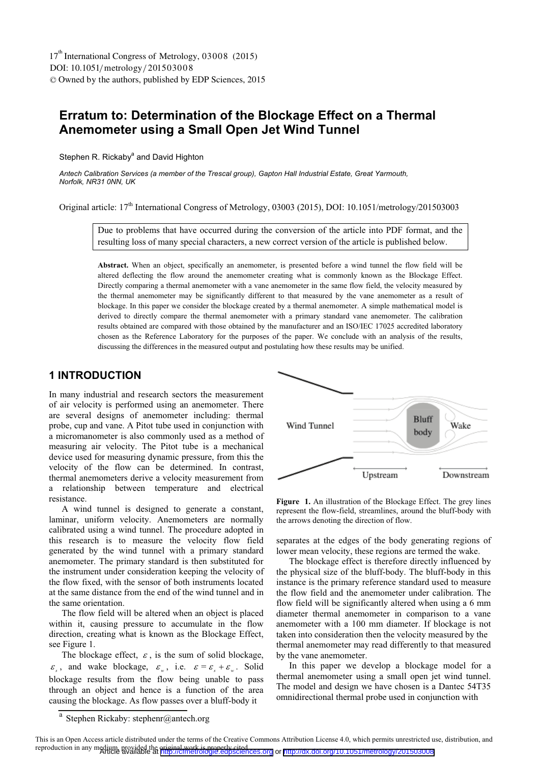DOI: 10.1051/metrology/201503008 -<sup>C</sup> Owned by the authors, published by EDP Sciences, 2015 17<sup>th</sup> International Congress of Metrology, 03008 (2015)

# **Erratum to: Determination of the Blockage Effect on a Thermal Anemometer using a Small Open Jet Wind Tunnel**

Stephen R. Rickaby<sup>a</sup> and David Highton

*Antech Calibration Services (a member of the Trescal group), Gapton Hall Industrial Estate, Great Yarmouth, Norfolk, NR31 0NN, UK* 

Original article: 17<sup>th</sup> International Congress of Metrology, 03003 (2015), DOI: 10.1051/metrology/201503003

Due to problems that have occurred during the conversion of the article into PDF format, and the resulting loss of many special characters, a new correct version of the article is published below.

**Abstract.** When an object, specifically an anemometer, is presented before a wind tunnel the flow field will be altered deflecting the flow around the anemometer creating what is commonly known as the Blockage Effect. Directly comparing a thermal anemometer with a vane anemometer in the same flow field, the velocity measured by the thermal anemometer may be significantly different to that measured by the vane anemometer as a result of blockage. In this paper we consider the blockage created by a thermal anemometer. A simple mathematical model is derived to directly compare the thermal anemometer with a primary standard vane anemometer. The calibration results obtained are compared with those obtained by the manufacturer and an ISO/IEC 17025 accredited laboratory chosen as the Reference Laboratory for the purposes of the paper. We conclude with an analysis of the results, discussing the differences in the measured output and postulating how these results may be unified.

## **1 INTRODUCTION**

In many industrial and research sectors the measurement of air velocity is performed using an anemometer. There are several designs of anemometer including: thermal probe, cup and vane. A Pitot tube used in conjunction with a micromanometer is also commonly used as a method of measuring air velocity. The Pitot tube is a mechanical device used for measuring dynamic pressure, from this the velocity of the flow can be determined. In contrast, thermal anemometers derive a velocity measurement from a relationship between temperature and electrical resistance.

A wind tunnel is designed to generate a constant, laminar, uniform velocity. Anemometers are normally calibrated using a wind tunnel. The procedure adopted in this research is to measure the velocity flow field generated by the wind tunnel with a primary standard anemometer. The primary standard is then substituted for the instrument under consideration keeping the velocity of the flow fixed, with the sensor of both instruments located at the same distance from the end of the wind tunnel and in the same orientation.

The flow field will be altered when an object is placed within it, causing pressure to accumulate in the flow direction, creating what is known as the Blockage Effect, see Figure 1.

The blockage effect,  $\varepsilon$ , is the sum of solid blockage,  $\varepsilon_s$ , and wake blockage,  $\varepsilon_w$ , i.e.  $\varepsilon = \varepsilon_s + \varepsilon_w$ . Solid blockage results from the flow being unable to pass through an object and hence is a function of the area causing the blockage. As flow passes over a bluff-body it

**Figure 1.** An illustration of the Blockage Effect. The grey lines represent the flow-field, streamlines, around the bluff-body with the arrows denoting the direction of flow.

separates at the edges of the body generating regions of lower mean velocity, these regions are termed the wake.

The blockage effect is therefore directly influenced by the physical size of the bluff-body. The bluff-body in this instance is the primary reference standard used to measure the flow field and the anemometer under calibration. The flow field will be significantly altered when using a 6 mm diameter thermal anemometer in comparison to a vane anemometer with a 100 mm diameter. If blockage is not taken into consideration then the velocity measured by the thermal anemometer may read differently to that measured by the vane anemometer.

In this paper we develop a blockage model for a thermal anemometer using a small open jet wind tunnel. The model and design we have chosen is a Dantec 54T35 omnidirectional thermal probe used in conjunction with

Stephen Rickaby: stephenr@antech.org



Bluff Wind Tunnel Wake body Upstream Downstream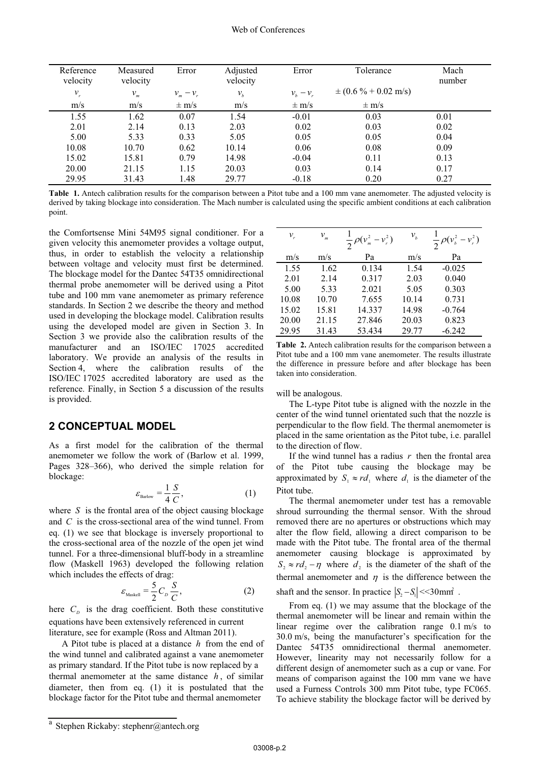| Reference<br>velocity | Measured<br>velocity       | Error                                    | Adjusted<br>velocity | Error           | Tolerance                        | Mach<br>number |
|-----------------------|----------------------------|------------------------------------------|----------------------|-----------------|----------------------------------|----------------|
| $v_{r}$               | $v_{\scriptscriptstyle m}$ | $-\nu_{r}$<br>$v_{\scriptscriptstyle m}$ | $v_{h}$              | $v_{h} - v_{r}$ | $\pm (0.6\% + 0.02 \text{ m/s})$ |                |
| m/s                   | m/s                        | $\pm$ m/s                                | m/s                  | $\pm$ m/s       | $\pm$ m/s                        |                |
| 1.55                  | 1.62                       | 0.07                                     | 1.54                 | $-0.01$         | 0.03                             | 0.01           |
| 2.01                  | 2.14                       | 0.13                                     | 2.03                 | 0.02            | 0.03                             | 0.02           |
| 5.00                  | 5.33                       | 0.33                                     | 5.05                 | 0.05            | 0.05                             | 0.04           |
| 10.08                 | 10.70                      | 0.62                                     | 10.14                | 0.06            | 0.08                             | 0.09           |
| 15.02                 | 15.81                      | 0.79                                     | 14.98                | $-0.04$         | 0.11                             | 0.13           |
| 20.00                 | 21.15                      | 1.15                                     | 20.03                | 0.03            | 0.14                             | 0.17           |
| 29.95                 | 31.43                      | .48                                      | 29.77                | $-0.18$         | 0.20                             | 0.27           |

**Table 1.** Antech calibration results for the comparison between a Pitot tube and a 100 mm vane anemometer. The adjusted velocity is derived by taking blockage into consideration. The Mach number is calculated using the specific ambient conditions at each calibration point.

the Comfortsense Mini 54M95 signal conditioner. For a given velocity this anemometer provides a voltage output, thus, in order to establish the velocity a relationship between voltage and velocity must first be determined. The blockage model for the Dantec 54T35 omnidirectional thermal probe anemometer will be derived using a Pitot tube and 100 mm vane anemometer as primary reference standards. In Section 2 we describe the theory and method used in developing the blockage model. Calibration results using the developed model are given in Section 3. In Section 3 we provide also the calibration results of the manufacturer and an ISO/IEC 17025 accredited laboratory. We provide an analysis of the results in Section 4, where the calibration results of the ISO/IEC 17025 accredited laboratory are used as the reference. Finally, in Section 5 a discussion of the results is provided.

## **2 CONCEPTUAL MODEL**

As a first model for the calibration of the thermal anemometer we follow the work of (Barlow et al. 1999, Pages 328–366), who derived the simple relation for blockage:

$$
\varepsilon_{\text{Barlow}} = \frac{1}{4} \frac{S}{C},\tag{1}
$$

where *S* is the frontal area of the object causing blockage and *C* is the cross-sectional area of the wind tunnel. From eq. (1) we see that blockage is inversely proportional to the cross-sectional area of the nozzle of the open jet wind tunnel. For a three-dimensional bluff-body in a streamline flow (Maskell 1963) developed the following relation which includes the effects of drag:

$$
\varepsilon_{\text{Maskell}} = \frac{5}{2} C_D \frac{S}{C},\tag{2}
$$

here  $C_p$  is the drag coefficient. Both these constitutive equations have been extensively referenced in current literature, see for example (Ross and Altman 2011).

A Pitot tube is placed at a distance *h* from the end of the wind tunnel and calibrated against a vane anemometer as primary standard. If the Pitot tube is now replaced by a thermal anemometer at the same distance *h* , of similar diameter, then from eq. (1) it is postulated that the blockage factor for the Pitot tube and thermal anemometer

| $v_{\scriptscriptstyle r}$ | $v_{\scriptscriptstyle m}$ | $\frac{1}{2}\rho(v_m^2-v_r^2)$ | $v_{\scriptscriptstyle b}$ | $\frac{1}{2}\rho(v_b^2-v_r^2)$ |
|----------------------------|----------------------------|--------------------------------|----------------------------|--------------------------------|
| m/s                        | m/s                        | Pa                             | m/s                        | Pa                             |
| 1.55                       | 1.62                       | 0.134                          | 1.54                       | $-0.025$                       |
| 2.01                       | 2.14                       | 0.317                          | 2.03                       | 0.040                          |
| 5.00                       | 5.33                       | 2.021                          | 5.05                       | 0.303                          |
| 10.08                      | 10.70                      | 7.655                          | 10.14                      | 0.731                          |
| 15.02                      | 15.81                      | 14.337                         | 14.98                      | $-0.764$                       |
| 20.00                      | 21.15                      | 27.846                         | 20.03                      | 0.823                          |
| 29.95                      | 31.43                      | 53.434                         | 29.77                      | $-6.242$                       |

**Table 2.** Antech calibration results for the comparison between a Pitot tube and a 100 mm vane anemometer. The results illustrate the difference in pressure before and after blockage has been taken into consideration.

will be analogous.

The L-type Pitot tube is aligned with the nozzle in the center of the wind tunnel orientated such that the nozzle is perpendicular to the flow field. The thermal anemometer is placed in the same orientation as the Pitot tube, i.e. parallel to the direction of flow.

If the wind tunnel has a radius *r* then the frontal area of the Pitot tube causing the blockage may be approximated by  $S_1 \approx rd_1$  where  $d_1$  is the diameter of the Pitot tube.

The thermal anemometer under test has a removable shroud surrounding the thermal sensor. With the shroud removed there are no apertures or obstructions which may alter the flow field, allowing a direct comparison to be made with the Pitot tube. The frontal area of the thermal anemometer causing blockage is approximated by  $S_1 \approx rd$ ,  $-\eta$  where  $d_2$  is the diameter of the shaft of the thermal anemometer and  $\eta$  is the difference between the shaft and the sensor. In practice  $|S, -S| \ll 30$  mm<sup>2</sup>.

From eq. (1) we may assume that the blockage of the thermal anemometer will be linear and remain within the linear regime over the calibration range 0.1 m/s to 30.0 m/s, being the manufacturer's specification for the Dantec 54T35 omnidirectional thermal anemometer. However, linearity may not necessarily follow for a different design of anemometer such as a cup or vane. For means of comparison against the 100 mm vane we have used a Furness Controls 300 mm Pitot tube, type FC065. To achieve stability the blockage factor will be derived by

a Stephen Rickaby: stephenr@antech.org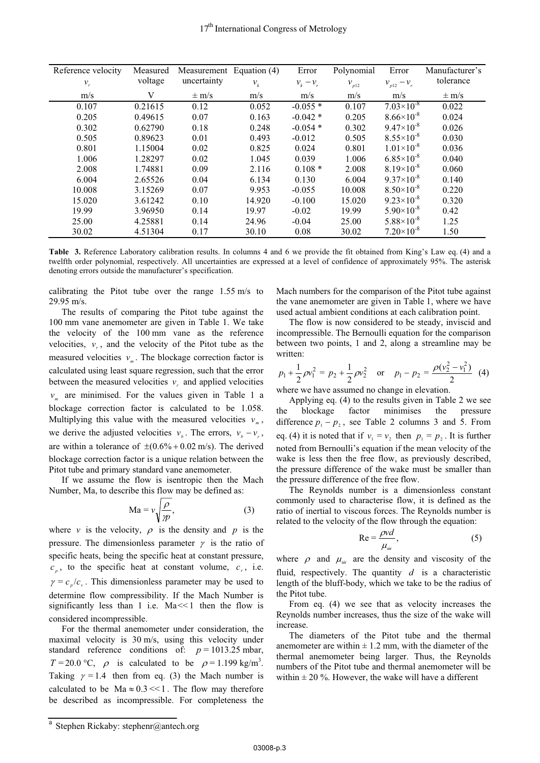| Reference velocity | Measured | Measurement Equation (4) |        | Error           | Polynomial | Error                 | Manufacturer's |
|--------------------|----------|--------------------------|--------|-----------------|------------|-----------------------|----------------|
| $v_r$              | voltage  | uncertainty              | $V_k$  | $v_{k} - v_{r}$ | $v_{p12}$  | $v_{p12}-v_{r}$       | tolerance      |
| m/s                | V        | $\pm$ m/s                | m/s    | m/s             | m/s        | m/s                   | $\pm$ m/s      |
| 0.107              | 0.21615  | 0.12                     | 0.052  | $-0.055*$       | 0.107      | $7.03\times10^{-8}$   | 0.022          |
| 0.205              | 0.49615  | 0.07                     | 0.163  | $-0.042*$       | 0.205      | $8.66 \times 10^{-8}$ | 0.024          |
| 0.302              | 0.62790  | 0.18                     | 0.248  | $-0.054$ *      | 0.302      | $9.47\times10^{-8}$   | 0.026          |
| 0.505              | 0.89623  | 0.01                     | 0.493  | $-0.012$        | 0.505      | $8.55\times10^{-8}$   | 0.030          |
| 0.801              | 1.15004  | 0.02                     | 0.825  | 0.024           | 0.801      | $1.01 \times 10^{-8}$ | 0.036          |
| 1.006              | 1.28297  | 0.02                     | 1.045  | 0.039           | 1.006      | $6.85\times10^{-8}$   | 0.040          |
| 2.008              | 1.74881  | 0.09                     | 2.116  | $0.108*$        | 2.008      | $8.19\times10^{-8}$   | 0.060          |
| 6.004              | 2.65526  | 0.04                     | 6.134  | 0.130           | 6.004      | $9.37\times10^{-8}$   | 0.140          |
| 10.008             | 3.15269  | 0.07                     | 9.953  | $-0.055$        | 10.008     | $8.50\times10^{-8}$   | 0.220          |
| 15.020             | 3.61242  | 0.10                     | 14.920 | $-0.100$        | 15.020     | $9.23\times10^{-8}$   | 0.320          |
| 19.99              | 3.96950  | 0.14                     | 19.97  | $-0.02$         | 19.99      | $5.90\times10^{-8}$   | 0.42           |
| 25.00              | 4.25881  | 0.14                     | 24.96  | $-0.04$         | 25.00      | $5.88\times10^{-8}$   | 1.25           |
| 30.02              | 4.51304  | 0.17                     | 30.10  | 0.08            | 30.02      | $7.20\times10^{-8}$   | 1.50           |

**Table 3.** Reference Laboratory calibration results. In columns 4 and 6 we provide the fit obtained from King's Law eq. (4) and a twelfth order polynomial, respectively. All uncertainties are expressed at a level of confidence of approximately 95%. The asterisk denoting errors outside the manufacturer's specification.

calibrating the Pitot tube over the range 1.55 m/s to 29.95 m/s.

The results of comparing the Pitot tube against the 100 mm vane anemometer are given in Table 1. We take the velocity of the 100 mm vane as the reference velocities,  $v_r$ , and the velocity of the Pitot tube as the measured velocities  $v_{\mu}$ . The blockage correction factor is calculated using least square regression, such that the error between the measured velocities  $v<sub>r</sub>$  and applied velocities  $v_{\perp}$  are minimised. For the values given in Table 1 a blockage correction factor is calculated to be 1.058. Multiplying this value with the measured velocities  $v_m$ , we derive the adjusted velocities  $v_{\mu}$ . The errors,  $v_{\mu} - v_{\nu}$ , are within a tolerance of  $\pm (0.6\% + 0.02 \text{ m/s})$ . The derived blockage correction factor is a unique relation between the Pitot tube and primary standard vane anemometer.

If we assume the flow is isentropic then the Mach Number, Ma, to describe this flow may be defined as:

$$
Ma = v \sqrt{\frac{\rho}{m}},
$$
 (3)

where  $\nu$  is the velocity,  $\rho$  is the density and  $p$  is the pressure. The dimensionless parameter  $\gamma$  is the ratio of specific heats, being the specific heat at constant pressure,  $c<sub>p</sub>$ , to the specific heat at constant volume,  $c<sub>v</sub>$ , i.e.  $\gamma = c_n/c_n$ . This dimensionless parameter may be used to determine flow compressibility. If the Mach Number is significantly less than 1 i.e.  $Ma \ll 1$  then the flow is considered incompressible.

For the thermal anemometer under consideration, the maximal velocity is 30 m/s, using this velocity under standard reference conditions of:  $p = 1013.25$  mbar,  $T = 20.0 \degree C$ ,  $\rho$  is calculated to be  $\rho = 1.199 \text{ kg/m}^3$ . Taking  $\gamma = 1.4$  then from eq. (3) the Mach number is calculated to be  $Ma \approx 0.3 \ll 1$ . The flow may therefore be described as incompressible. For completeness the

Mach numbers for the comparison of the Pitot tube against the vane anemometer are given in Table 1, where we have used actual ambient conditions at each calibration point.

The flow is now considered to be steady, inviscid and incompressible. The Bernoulli equation for the comparison between two points, 1 and 2, along a streamline may be written:

$$
p_1 + \frac{1}{2}\rho v_1^2 = p_2 + \frac{1}{2}\rho v_2^2
$$
 or  $p_1 - p_2 = \frac{\rho(v_2^2 - v_1^2)}{2}$  (4)

where we have assumed no change in elevation.

Applying eq. (4) to the results given in Table 2 we see the blockage factor minimises the pressure difference  $p_1 - p_2$ , see Table 2 columns 3 and 5. From eq. (4) it is noted that if  $v_1 = v_2$  then  $p_1 = p_2$ . It is further noted from Bernoulli's equation if the mean velocity of the wake is less then the free flow, as previously described, the pressure difference of the wake must be smaller than the pressure difference of the free flow.

The Reynolds number is a dimensionless constant commonly used to characterise flow, it is defined as the ratio of inertial to viscous forces. The Reynolds number is related to the velocity of the flow through the equation:

$$
Re = \frac{\rho v d}{\mu_{air}},\tag{5}
$$

where  $\rho$  and  $\mu_{air}$  are the density and viscosity of the fluid, respectively. The quantity *d* is a characteristic length of the bluff-body, which we take to be the radius of the Pitot tube.

From eq. (4) we see that as velocity increases the Reynolds number increases, thus the size of the wake will increase.

The diameters of the Pitot tube and the thermal anemometer are within  $\pm$  1.2 mm, with the diameter of the thermal anemometer being larger. Thus, the Reynolds numbers of the Pitot tube and thermal anemometer will be within  $\pm 20$  %. However, the wake will have a different

a Stephen Rickaby: stephenr@antech.org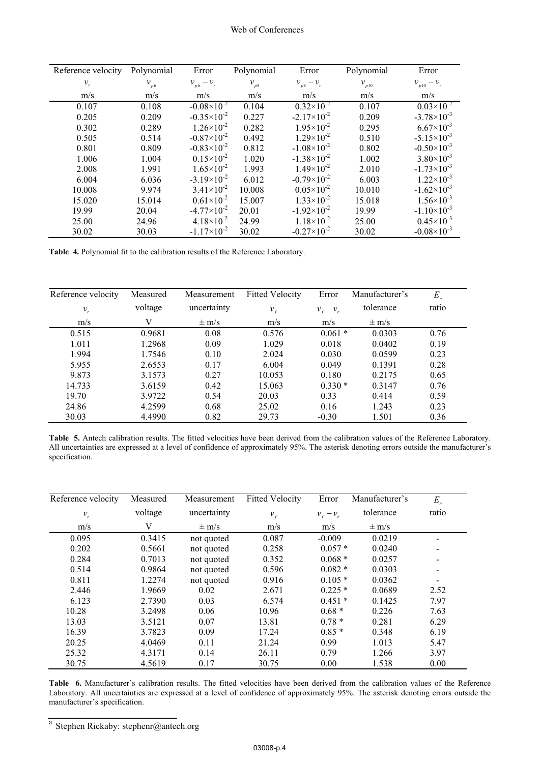| Reference velocity | Polynomial | Error                  | Polynomial         | Error                 | Polynomial | Error                  |
|--------------------|------------|------------------------|--------------------|-----------------------|------------|------------------------|
| $v_{r}$            | $v_{p6}$   | $v_{p6} - v_{r}$       | $\mathcal{V}_{p8}$ | $v_{p8} - v_{r}$      | $v_{p10}$  | $v_{p10} - v_{r}$      |
| m/s                | m/s        | m/s                    | m/s                | m/s                   | m/s        | m/s                    |
| 0.107              | 0.108      | $-0.08\times10^{-2}$   | 0.104              | $0.32\times10^{2}$    | 0.107      | $0.03\times10^{-2}$    |
| 0.205              | 0.209      | $-0.35 \times 10^{-2}$ | 0.227              | $-2.17\times10^{-2}$  | 0.209      | $-3.78\times10^{-3}$   |
| 0.302              | 0.289      | $1.26 \times 10^{-2}$  | 0.282              | $1.95 \times 10^{-2}$ | 0.295      | $6.67\times10^{-3}$    |
| 0.505              | 0.514      | $-0.87\times10^{-2}$   | 0.492              | $1.29 \times 10^{-2}$ | 0.510      | $-5.15 \times 10^{-3}$ |
| 0.801              | 0.809      | $-0.83\times10^{-2}$   | 0.812              | $-1.08\times10^{-2}$  | 0.802      | $-0.50\times10^{-3}$   |
| 1.006              | 1.004      | $0.15 \times 10^{-2}$  | 1.020              | $-1.38\times10^{-2}$  | 1.002      | $3.80\times10^{-3}$    |
| 2.008              | 1.991      | $1.65 \times 10^{-2}$  | 1.993              | $1.49\times10^{-2}$   | 2.010      | $-1.73\times10^{-3}$   |
| 6.004              | 6.036      | $-3.19\times10^{-2}$   | 6.012              | $-0.79\times10^{-2}$  | 6.003      | $1.22 \times 10^{-3}$  |
| 10.008             | 9.974      | $3.41 \times 10^{-2}$  | 10.008             | $0.05 \times 10^{-2}$ | 10.010     | $-1.62\times10^{-3}$   |
| 15.020             | 15.014     | $0.61\times10^{-2}$    | 15.007             | $1.33\times10^{-2}$   | 15.018     | $1.56 \times 10^{-3}$  |
| 19.99              | 20.04      | $-4.77\times10^{-2}$   | 20.01              | $-1.92\times10^{-2}$  | 19.99      | $-1.10\times10^{-3}$   |
| 25.00              | 24.96      | $4.18 \times 10^{-2}$  | 24.99              | $1.18 \times 10^{-2}$ | 25.00      | $0.45 \times 10^{-3}$  |
| 30.02              | 30.03      | $-1.17\times10^{-2}$   | 30.02              | $-0.27\times10^{-2}$  | 30.02      | $-0.08\times10^{-3}$   |

**Table 4.** Polynomial fit to the calibration results of the Reference Laboratory.

| Reference velocity | Measured | Measurement | <b>Fitted Velocity</b> | Error       | Manufacturer's | $E_n$ |
|--------------------|----------|-------------|------------------------|-------------|----------------|-------|
| $v_{r}$            | voltage  | uncertainty | $v_{f}$                | $v_r - v_r$ | tolerance      | ratio |
| m/s                | V        | $\pm$ m/s   | m/s                    | m/s         | $\pm$ m/s      |       |
| 0.515              | 0.9681   | 0.08        | 0.576                  | $0.061*$    | 0.0303         | 0.76  |
| 1.011              | 1.2968   | 0.09        | 1.029                  | 0.018       | 0.0402         | 0.19  |
| 1.994              | 1.7546   | 0.10        | 2.024                  | 0.030       | 0.0599         | 0.23  |
| 5.955              | 2.6553   | 0.17        | 6.004                  | 0.049       | 0.1391         | 0.28  |
| 9.873              | 3.1573   | 0.27        | 10.053                 | 0.180       | 0.2175         | 0.65  |
| 14.733             | 3.6159   | 0.42        | 15.063                 | $0.330*$    | 0.3147         | 0.76  |
| 19.70              | 3.9722   | 0.54        | 20.03                  | 0.33        | 0.414          | 0.59  |
| 24.86              | 4.2599   | 0.68        | 25.02                  | 0.16        | 1.243          | 0.23  |
| 30.03              | 4.4990   | 0.82        | 29.73                  | $-0.30$     | 1.501          | 0.36  |

Table 5. Antech calibration results. The fitted velocities have been derived from the calibration values of the Reference Laboratory.<br>All uncertainties are expressed at a level of confidence of approximately 95%. The aster specification.

| Reference velocity | Measured | Measurement | <b>Fitted Velocity</b> | Error       | Manufacturer's | $E_n$                        |
|--------------------|----------|-------------|------------------------|-------------|----------------|------------------------------|
| $\mathcal{V}_r$    | voltage  | uncertainty | $v_{f}$                | $v_r - v_r$ | tolerance      | ratio                        |
| m/s                | V        | $\pm$ m/s   | m/s                    | m/s         | $\pm$ m/s      |                              |
| 0.095              | 0.3415   | not quoted  | 0.087                  | $-0.009$    | 0.0219         | -                            |
| 0.202              | 0.5661   | not quoted  | 0.258                  | $0.057*$    | 0.0240         | $\qquad \qquad \blacksquare$ |
| 0.284              | 0.7013   | not quoted  | 0.352                  | $0.068*$    | 0.0257         | ۰                            |
| 0.514              | 0.9864   | not quoted  | 0.596                  | $0.082*$    | 0.0303         | -                            |
| 0.811              | 1.2274   | not quoted  | 0.916                  | $0.105*$    | 0.0362         |                              |
| 2.446              | 1.9669   | 0.02        | 2.671                  | $0.225*$    | 0.0689         | 2.52                         |
| 6.123              | 2.7390   | 0.03        | 6.574                  | $0.451*$    | 0.1425         | 7.97                         |
| 10.28              | 3.2498   | 0.06        | 10.96                  | $0.68*$     | 0.226          | 7.63                         |
| 13.03              | 3.5121   | 0.07        | 13.81                  | $0.78*$     | 0.281          | 6.29                         |
| 16.39              | 3.7823   | 0.09        | 17.24                  | $0.85*$     | 0.348          | 6.19                         |
| 20.25              | 4.0469   | 0.11        | 21.24                  | 0.99        | 1.013          | 5.47                         |
| 25.32              | 4.3171   | 0.14        | 26.11                  | 0.79        | 1.266          | 3.97                         |
| 30.75              | 4.5619   | 0.17        | 30.75                  | 0.00        | 1.538          | 0.00                         |

**Table 6.** Manufacturer's calibration results. The fitted velocities have been derived from the calibration values of the Reference Laboratory. All uncertainties are expressed at a level of confidence of approximately 95%. The asterisk denoting errors outside the manufacturer's specification.

a Stephen Rickaby: stephenr@antech.org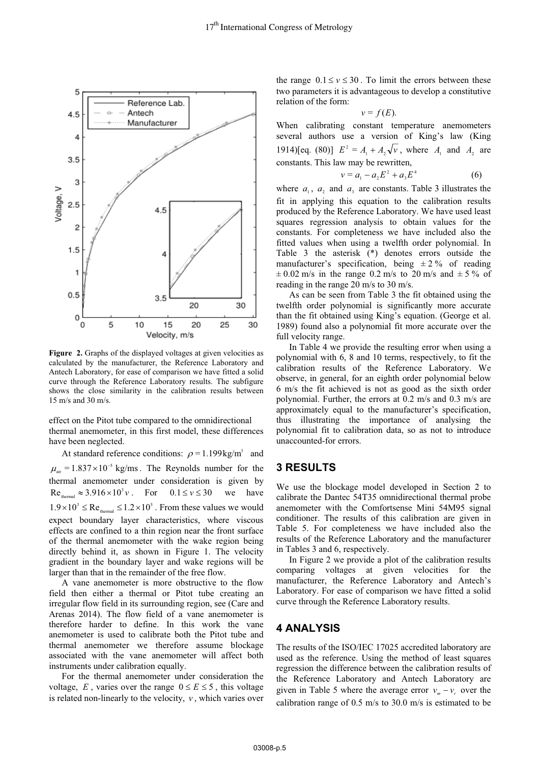

**Figure 2.** Graphs of the displayed voltages at given velocities as calculated by the manufacturer, the Reference Laboratory and Antech Laboratory, for ease of comparison we have fitted a solid curve through the Reference Laboratory results. The subfigure shows the close similarity in the calibration results between 15 m/s and 30 m/s.

effect on the Pitot tube compared to the omnidirectional thermal anemometer, in this first model, these differences have been neglected.

At standard reference conditions:  $\rho = 1.199 \text{kg/m}^3$  and  $\mu_{\text{air}} = 1.837 \times 10^{-5}$  kg/ms. The Reynolds number for the thermal anemometer under consideration is given by  $Re<sub>thermal</sub> \approx 3.916 \times 10^3 \nu$ . For  $0.1 \le \nu \le 30$  we have  $1.9\times10^3 \leq \text{Re}_{\text{thermal}} \leq 1.2\times10^5$  . From these values we would expect boundary layer characteristics, where viscous effects are confined to a thin region near the front surface of the thermal anemometer with the wake region being directly behind it, as shown in Figure 1. The velocity gradient in the boundary layer and wake regions will be larger than that in the remainder of the free flow.

A vane anemometer is more obstructive to the flow field then either a thermal or Pitot tube creating an irregular flow field in its surrounding region, see (Care and Arenas 2014). The flow field of a vane anemometer is therefore harder to define. In this work the vane anemometer is used to calibrate both the Pitot tube and thermal anemometer we therefore assume blockage associated with the vane anemometer will affect both instruments under calibration equally.

For the thermal anemometer under consideration the voltage, E, varies over the range  $0 \le E \le 5$ , this voltage is related non-linearly to the velocity,  $\nu$ , which varies over

the range  $0.1 \le v \le 30$ . To limit the errors between these two parameters it is advantageous to develop a constitutive relation of the form:

$$
v=f(E).
$$

When calibrating constant temperature anemometers several authors use a version of King's law (King 1914)[eq. (80)]  $E^2 = A_1 + A_2 \sqrt{v}$ , where  $A_1$  and  $A_2$  are constants. This law may be rewritten,

$$
v = a_1 - a_2 E^2 + a_3 E^4 \tag{6}
$$

where  $a_1$ ,  $a_2$  and  $a_3$  are constants. Table 3 illustrates the fit in applying this equation to the calibration results produced by the Reference Laboratory. We have used least squares regression analysis to obtain values for the constants. For completeness we have included also the fitted values when using a twelfth order polynomial. In Table 3 the asterisk (\*) denotes errors outside the manufacturer's specification, being  $\pm 2\%$  of reading  $\pm$  0.02 m/s in the range 0.2 m/s to 20 m/s and  $\pm$  5% of reading in the range 20 m/s to 30 m/s.

As can be seen from Table 3 the fit obtained using the twelfth order polynomial is significantly more accurate than the fit obtained using King's equation. (George et al. 1989) found also a polynomial fit more accurate over the full velocity range.

In Table 4 we provide the resulting error when using a polynomial with 6, 8 and 10 terms, respectively, to fit the calibration results of the Reference Laboratory. We observe, in general, for an eighth order polynomial below 6 m/s the fit achieved is not as good as the sixth order polynomial. Further, the errors at 0.2 m/s and 0.3 m/s are approximately equal to the manufacturer's specification, thus illustrating the importance of analysing the polynomial fit to calibration data, so as not to introduce unaccounted-for errors.

#### **3 RESULTS**

We use the blockage model developed in Section 2 to calibrate the Dantec 54T35 omnidirectional thermal probe anemometer with the Comfortsense Mini 54M95 signal conditioner. The results of this calibration are given in Table 5. For completeness we have included also the results of the Reference Laboratory and the manufacturer in Tables 3 and 6, respectively.

In Figure 2 we provide a plot of the calibration results comparing voltages at given velocities for the manufacturer, the Reference Laboratory and Antech's Laboratory. For ease of comparison we have fitted a solid curve through the Reference Laboratory results.

#### **4 ANALYSIS**

The results of the ISO/IEC 17025 accredited laboratory are used as the reference. Using the method of least squares regression the difference between the calibration results of the Reference Laboratory and Antech Laboratory are given in Table 5 where the average error  $v_m - v_r$  over the calibration range of 0.5 m/s to 30.0 m/s is estimated to be